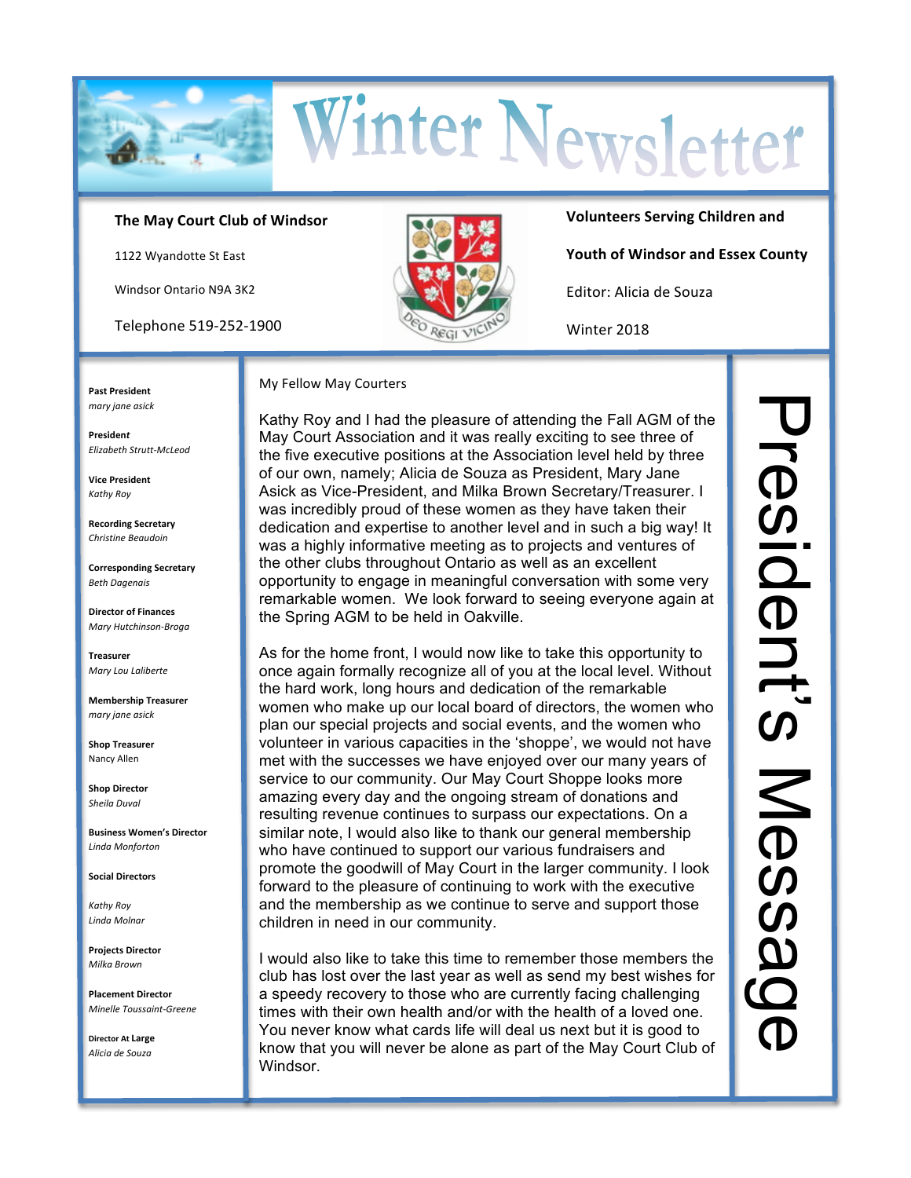

## The May Court Club of Windsor

1122 Wyandotte St East

**Windsor Ontario N9A 3K2** 

Telephone 519-252-1900



**Volunteers Serving Children and** 

Youth of Windsor and Essex County

Editor: Alicia de Souza

Winter 2018

**Past President** mary jane asick

**President** Elizabeth Strutt-McLeod

**Vice President** Kathy Roy

**Recording Secretary** Christine Beaudoin

**Corresponding Secretary Beth Dagenais** 

**Director of Finances** Mary Hutchinson-Broga

**Treasurer** Mary Lou Laliberte

**Membership Treasurer** mary jane asick

**Shop Treasurer** Nancy Allen

**Shop Director** Sheila Duval

**Business Women's Director** Linda Monforton

**Social Directors** 

Kathy Roy Linda Molnar

**Projects Director** Milka Brown

**Placement Director** Minelle Toussaint-Greene

Director At Large Alicia de Souza

#### My Fellow May Courters

Kathy Roy and I had the pleasure of attending the Fall AGM of the May Court Association and it was really exciting to see three of the five executive positions at the Association level held by three of our own, namely; Alicia de Souza as President, Mary Jane Asick as Vice-President, and Milka Brown Secretary/Treasurer. I was incredibly proud of these women as they have taken their dedication and expertise to another level and in such a big way! It was a highly informative meeting as to projects and ventures of the other clubs throughout Ontario as well as an excellent opportunity to engage in meaningful conversation with some very remarkable women. We look forward to seeing everyone again at the Spring AGM to be held in Oakville.

As for the home front, I would now like to take this opportunity to once again formally recognize all of you at the local level. Without the hard work, long hours and dedication of the remarkable women who make up our local board of directors, the women who plan our special projects and social events, and the women who volunteer in various capacities in the 'shoppe', we would not have met with the successes we have enjoyed over our many years of service to our community. Our May Court Shoppe looks more amazing every day and the ongoing stream of donations and resulting revenue continues to surpass our expectations. On a similar note, I would also like to thank our general membership who have continued to support our various fundraisers and promote the goodwill of May Court in the larger community. I look forward to the pleasure of continuing to work with the executive and the membership as we continue to serve and support those children in need in our community.

I would also like to take this time to remember those members the club has lost over the last year as well as send my best wishes for a speedy recovery to those who are currently facing challenging times with their own health and/or with the health of a loved one. You never know what cards life will deal us next but it is good to know that you will never be alone as part of the May Court Club of Windsor.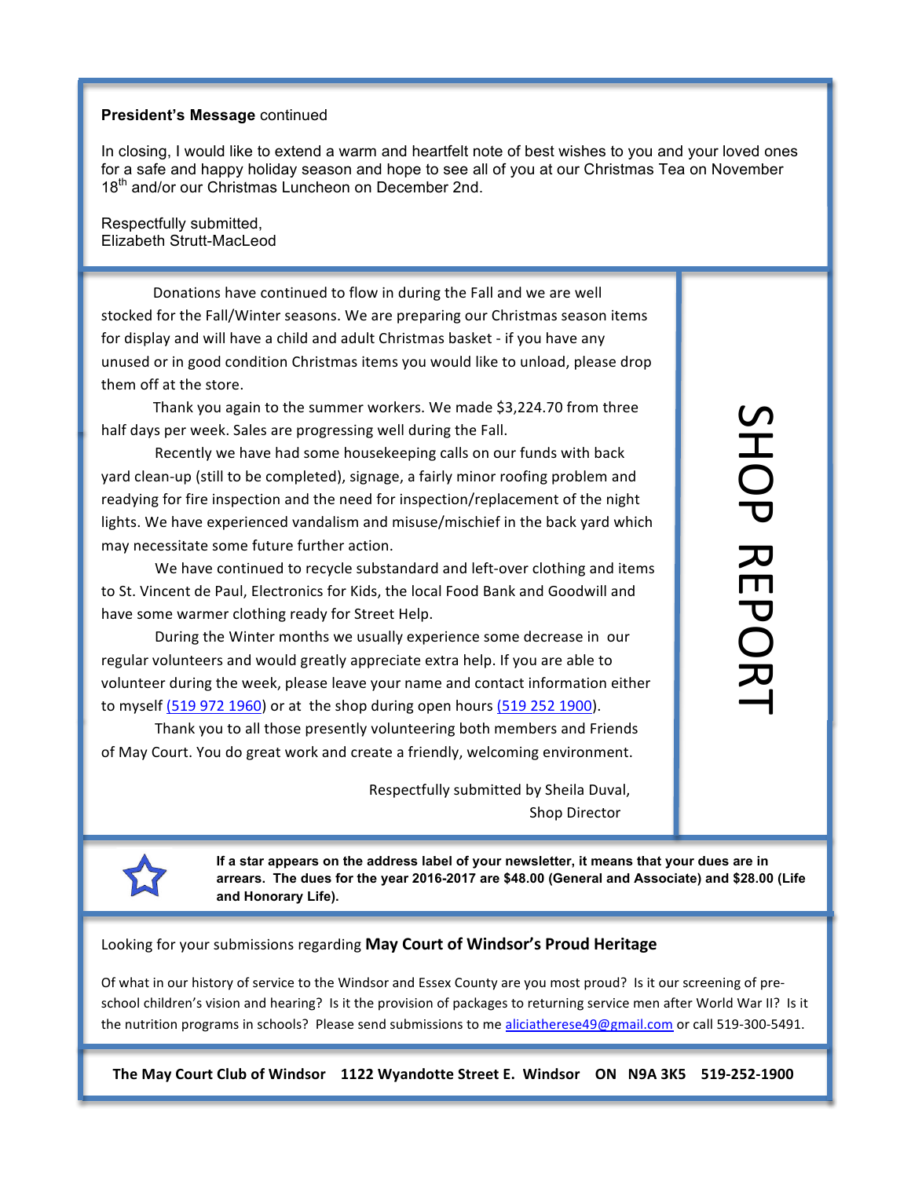# **President's Message** continued

In closing, I would like to extend a warm and heartfelt note of best wishes to you and your loved ones for a safe and happy holiday season and hope to see all of you at our Christmas Tea on November 18<sup>th</sup> and/or our Christmas Luncheon on December 2nd.

Respectfully submitted, Elizabeth Strutt-MacLeod

Donations have continued to flow in during the Fall and we are well stocked for the Fall/Winter seasons. We are preparing our Christmas season items for display and will have a child and adult Christmas basket - if you have any unused or in good condition Christmas items you would like to unload, please drop them off at the store.

Thank you again to the summer workers. We made \$3,224.70 from three half days per week. Sales are progressing well during the Fall.

Recently we have had some housekeeping calls on our funds with back yard clean-up (still to be completed), signage, a fairly minor roofing problem and readying for fire inspection and the need for inspection/replacement of the night lights. We have experienced vandalism and misuse/mischief in the back yard which may necessitate some future further action.

We have continued to recycle substandard and left-over clothing and items to St. Vincent de Paul, Electronics for Kids, the local Food Bank and Goodwill and have some warmer clothing ready for Street Help.

During the Winter months we usually experience some decrease in our regular volunteers and would greatly appreciate extra help. If you are able to volunteer during the week, please leave your name and contact information either to myself (519 972 1960) or at the shop during open hours (519 252 1900).

Thank you to all those presently volunteering both members and Friends of May Court. You do great work and create a friendly, welcoming environment.

> Respectfully submitted by Sheila Duval, Shop Director

SHOP

REPORT

**If a star appears on the address label of your newsletter, it means that your dues are in arrears. The dues for the year 2016-2017 are \$48.00 (General and Associate) and \$28.00 (Life and Honorary Life).**

Looking for your submissions regarding May Court of Windsor's Proud Heritage

Of what in our history of service to the Windsor and Essex County are you most proud? Is it our screening of preschool children's vision and hearing? Is it the provision of packages to returning service men after World War II? Is it the nutrition programs in schools? Please send submissions to me aliciatherese49@gmail.com or call 519-300-5491.

The May Court Club of Windsor 1122 Wyandotte Street E. Windsor ON N9A 3K5 519-252-1900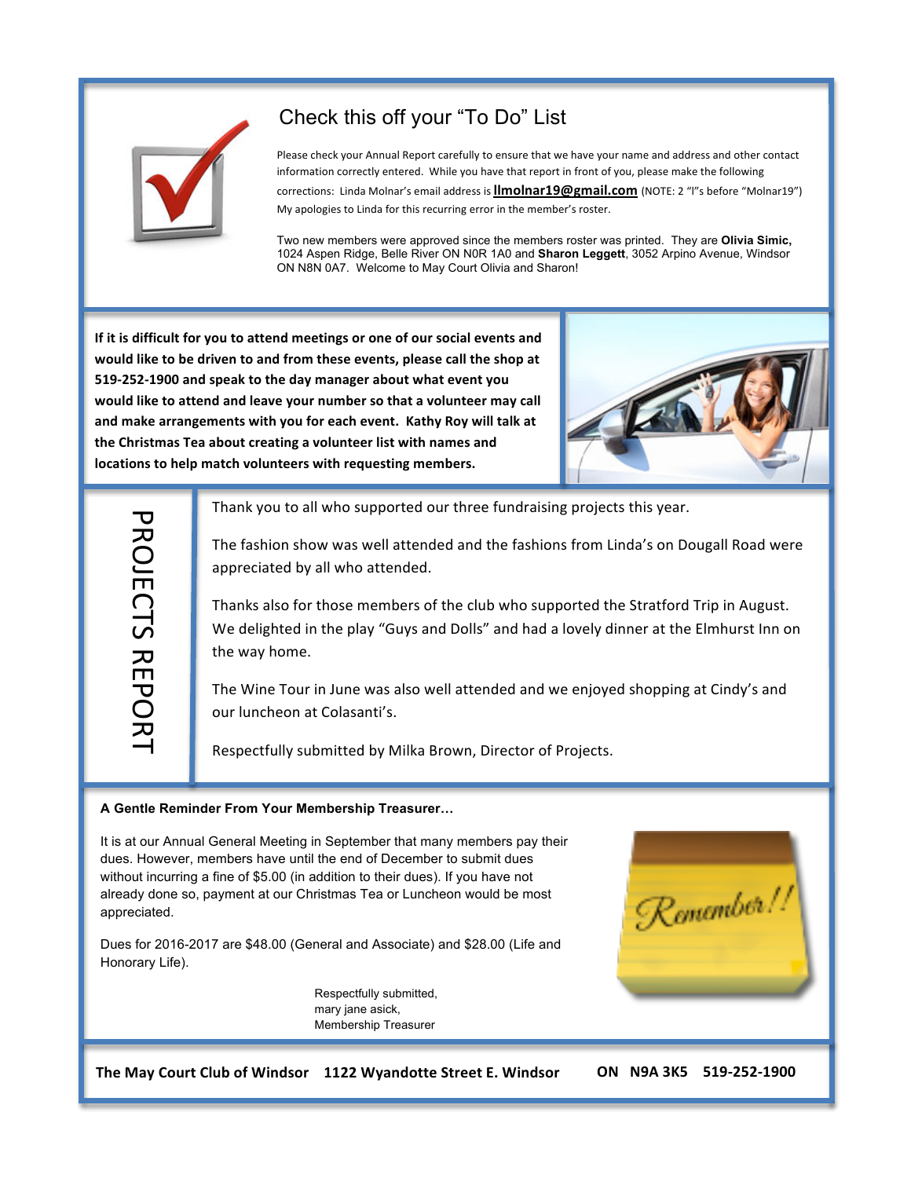

# Check this off your "To Do" List

Please check your Annual Report carefully to ensure that we have your name and address and other contact information correctly entered. While you have that report in front of you, please make the following corrections: Linda Molnar's email address is **llmolnar19@gmail.com** (NOTE: 2 "l"s before "Molnar19") My apologies to Linda for this recurring error in the member's roster.

Two new members were approved since the members roster was printed. They are **Olivia Simic,** 1024 Aspen Ridge, Belle River ON N0R 1A0 and **Sharon Leggett**, 3052 Arpino Avenue, Windsor ON N8N 0A7. Welcome to May Court Olivia and Sharon!

If it is difficult for you to attend meetings or one of our social events and would like to be driven to and from these events, please call the shop at 519-252-1900 and speak to the day manager about what event you would like to attend and leave your number so that a volunteer may call and make arrangements with you for each event. Kathy Roy will talk at the Christmas Tea about creating a volunteer list with names and locations to help match volunteers with requesting members.



**PROJECTS REPORT** PROJECTS#REPORT

Thank you to all who supported our three fundraising projects this year.

The fashion show was well attended and the fashions from Linda's on Dougall Road were appreciated by all who attended.

Thanks also for those members of the club who supported the Stratford Trip in August. We delighted in the play "Guys and Dolls" and had a lovely dinner at the Elmhurst Inn on the way home.

The Wine Tour in June was also well attended and we enjoyed shopping at Cindy's and our luncheon at Colasanti's.

Respectfully submitted by Milka Brown, Director of Projects.

### **A Gentle Reminder From Your Membership Treasurer…**

It is at our Annual General Meeting in September that many members pay their dues. However, members have until the end of December to submit dues without incurring a fine of \$5.00 (in addition to their dues). If you have not already done so, payment at our Christmas Tea or Luncheon would be most appreciated.

Dues for 2016-2017 are \$48.00 (General and Associate) and \$28.00 (Life and Honorary Life).

> Respectfully submitted, mary jane asick, Membership Treasurer



The May Court Club of Windsor 1122 Wyandotte Street E. Windsor ON N9A 3K5 519-252-1900